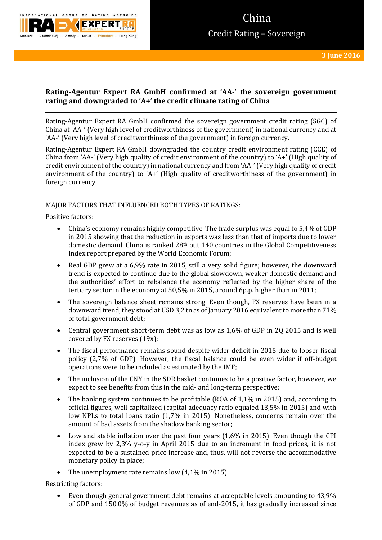

# **Rating-Agentur Expert RA GmbH confirmed at 'AA-' the sovereign government rating and downgraded to 'A+' the credit climate rating of China**

Rating-Agentur Expert RA GmbH confirmed the sovereign government credit rating (SGC) of China at 'AA-' (Very high level of creditworthiness of the government) in national currency and at 'AA-' (Very high level of creditworthiness of the government) in foreign currency.

Rating-Agentur Expert RA GmbH downgraded the country credit environment rating (CCE) of China from 'AA-' (Very high quality of credit environment of the country) to 'A+' (High quality of credit environment of the country) in national currency and from 'AA-' (Very high quality of credit environment of the country) to 'A+' (High quality of creditworthiness of the government) in foreign currency.

## MAJOR FACTORS THAT INFLUENCED BOTH TYPES OF RATINGS:

Positive factors:

- China's economy remains highly competitive. The trade surplus was equal to 5,4% of GDP in 2015 showing that the reduction in exports was less than that of imports due to lower domestic demand. China is ranked 28th out 140 countries in the Global Competitiveness Index report prepared by the World Economic Forum;
- Real GDP grew at a 6,9% rate in 2015, still a very solid figure; however, the downward trend is expected to continue due to the global slowdown, weaker domestic demand and the authorities' effort to rebalance the economy reflected by the higher share of the tertiary sector in the economy at 50,5% in 2015, around 6p.p. higher than in 2011;
- The sovereign balance sheet remains strong. Even though, FX reserves have been in a downward trend, they stood at USD 3,2 tn as of January 2016 equivalent to more than 71% of total government debt;
- Central government short-term debt was as low as 1,6% of GDP in 2Q 2015 and is well covered by FX reserves (19x);
- The fiscal performance remains sound despite wider deficit in 2015 due to looser fiscal policy (2,7% of GDP). However, the fiscal balance could be even wider if off-budget operations were to be included as estimated by the IMF;
- The inclusion of the CNY in the SDR basket continues to be a positive factor, however, we expect to see benefits from this in the mid- and long-term perspective;
- The banking system continues to be profitable (ROA of 1,1% in 2015) and, according to official figures, well capitalized (capital adequacy ratio equaled 13,5% in 2015) and with low NPLs to total loans ratio (1,7% in 2015). Nonetheless, concerns remain over the amount of bad assets from the shadow banking sector;
- Low and stable inflation over the past four years (1,6% in 2015). Even though the CPI index grew by 2,3% y-o-y in April 2015 due to an increment in food prices, it is not expected to be a sustained price increase and, thus, will not reverse the accommodative monetary policy in place;
- The unemployment rate remains low  $(4.1\% \text{ in } 2015)$ .

Restricting factors:

 Even though general government debt remains at acceptable levels amounting to 43,9% of GDP and 150,0% of budget revenues as of end-2015, it has gradually increased since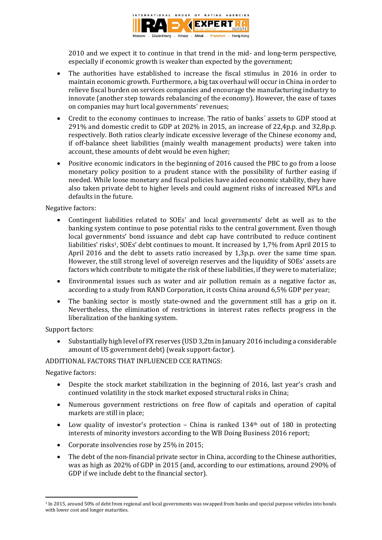

2010 and we expect it to continue in that trend in the mid- and long-term perspective, especially if economic growth is weaker than expected by the government;

- The authorities have established to increase the fiscal stimulus in 2016 in order to maintain economic growth. Furthermore, a big tax overhaul will occur in China in order to relieve fiscal burden on services companies and encourage the manufacturing industry to innovate (another step towards rebalancing of the economy). However, the ease of taxes on companies may hurt local governments' revenues;
- Credit to the economy continues to increase. The ratio of banks´ assets to GDP stood at 291% and domestic credit to GDP at 202% in 2015, an increase of 22,4p.p. and 32,8p.p. respectively. Both ratios clearly indicate excessive leverage of the Chinese economy and, if off-balance sheet liabilities (mainly wealth management products) were taken into account, these amounts of debt would be even higher;
- Positive economic indicators in the beginning of 2016 caused the PBC to go from a loose monetary policy position to a prudent stance with the possibility of further easing if needed. While loose monetary and fiscal policies have aided economic stability, they have also taken private debt to higher levels and could augment risks of increased NPLs and defaults in the future.

# Negative factors:

- Contingent liabilities related to SOEs' and local governments' debt as well as to the banking system continue to pose potential risks to the central government. Even though local governments' bond issuance and debt cap have contributed to reduce continent liabilities' risks<sup>1</sup>, SOEs' debt continues to mount. It increased by 1.7% from April 2015 to April 2016 and the debt to assets ratio increased by 1,3p.p. over the same time span. However, the still strong level of sovereign reserves and the liquidity of SOEs' assets are factors which contribute to mitigate the risk of these liabilities, if they were to materialize;
- Environmental issues such as water and air pollution remain as a negative factor as, according to a study from RAND Corporation, it costs China around 6,5% GDP per year;
- The banking sector is mostly state-owned and the government still has a grip on it. Nevertheless, the elimination of restrictions in interest rates reflects progress in the liberalization of the banking system.

Support factors:

 Substantially high level of FX reserves (USD 3,2tn in January 2016 including a considerable amount of US government debt) (weak support-factor).

## ADDITIONAL FACTORS THAT INFLUENCED CCE RATINGS:

Negative factors:

**.** 

- Despite the stock market stabilization in the beginning of 2016, last year's crash and continued volatility in the stock market exposed structural risks in China;
- Numerous government restrictions on free flow of capitals and operation of capital markets are still in place;
- Low quality of investor's protection China is ranked  $134<sup>th</sup>$  out of 180 in protecting interests of minority investors according to the WB Doing Business 2016 report;
- Corporate insolvencies rose by 25% in 2015;
- The debt of the non-financial private sector in China, according to the Chinese authorities, was as high as 202% of GDP in 2015 (and, according to our estimations, around 290% of GDP if we include debt to the financial sector).

<sup>1</sup> In 2015, around 50% of debt from regional and local governments was swapped from banks and special purpose vehicles into bonds with lower cost and longer maturities.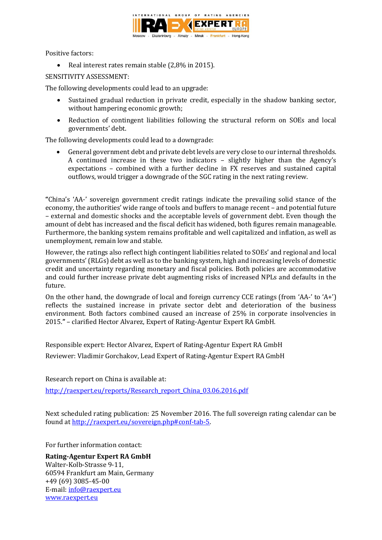

Positive factors:

Real interest rates remain stable (2,8% in 2015).

## SENSITIVITY ASSESSMENT:

The following developments could lead to an upgrade:

- Sustained gradual reduction in private credit, especially in the shadow banking sector, without hampering economic growth;
- Reduction of contingent liabilities following the structural reform on SOEs and local governments' debt.

The following developments could lead to a downgrade:

 General government debt and private debt levels are very close to our internal thresholds. A continued increase in these two indicators – slightly higher than the Agency's expectations – combined with a further decline in FX reserves and sustained capital outflows, would trigger a downgrade of the SGC rating in the next rating review.

**"**China's 'AA-' sovereign government credit ratings indicate the prevailing solid stance of the economy, the authorities' wide range of tools and buffers to manage recent – and potential future – external and domestic shocks and the acceptable levels of government debt. Even though the amount of debt has increased and the fiscal deficit has widened, both figures remain manageable. Furthermore, the banking system remains profitable and well capitalized and inflation, as well as unemployment, remain low and stable.

However, the ratings also reflect high contingent liabilities related to SOEs' and regional and local governments'(RLGs) debt as well as to the banking system, high and increasing levels of domestic credit and uncertainty regarding monetary and fiscal policies. Both policies are accommodative and could further increase private debt augmenting risks of increased NPLs and defaults in the future.

On the other hand, the downgrade of local and foreign currency CCE ratings (from 'AA-' to 'A+') reflects the sustained increase in private sector debt and deterioration of the business environment. Both factors combined caused an increase of 25% in corporate insolvencies in 2015.**"** – clarified Hector Alvarez, Expert of Rating-Agentur Expert RA GmbH.

Responsible expert: Hector Alvarez, Expert of Rating-Agentur Expert RA GmbH

Reviewer: Vladimir Gorchakov, Lead Expert of Rating-Agentur Expert RA GmbH

Research report on China is available at:

[http://raexpert.eu/reports/Research\\_report\\_China\\_03.06.2016.pdf](http://raexpert.eu/reports/Research_report_China_03.06.2016.pdf)

Next scheduled rating publication: 25 November 2016. The full sovereign rating calendar can be found at [http://raexpert.eu/sovereign.php#conf-tab-5.](http://raexpert.eu/sovereign.php#conf-tab-5)

For further information contact:

**Rating-Agentur Expert RA GmbH** Walter-Kolb-Strasse 9-11, 60594 Frankfurt am Main, Germany +49 (69) 3085-45-00 E-mail[: info@raexpert.eu](mailto:info@raexpert.eu) [www.raexpert.eu](http://raexpert.eu/)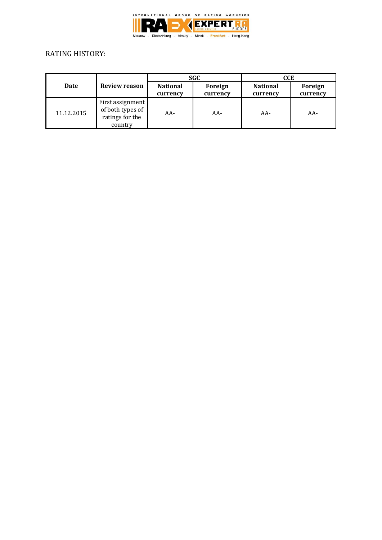

# RATING HISTORY:

| Date       | Review reason                                                      | <b>SGC</b>                  |                     | <b>CCE</b>                  |                     |
|------------|--------------------------------------------------------------------|-----------------------------|---------------------|-----------------------------|---------------------|
|            |                                                                    | <b>National</b><br>currency | Foreign<br>currency | <b>National</b><br>currency | Foreign<br>currency |
| 11.12.2015 | First assignment<br>of both types of<br>ratings for the<br>country | AA-                         | AA-                 | AA-                         | AA-                 |